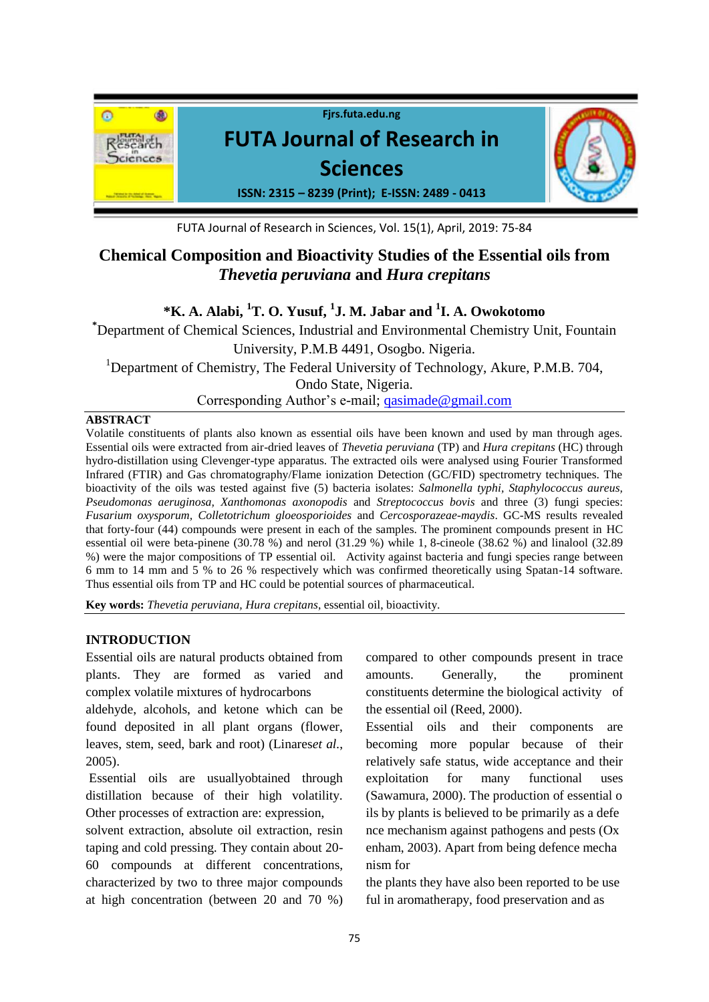

FUTA Journal of Research in Sciences, Vol. 15(1), April, 2019: 75-84

# **Chemical Composition and Bioactivity Studies of the Essential oils from**  *Thevetia peruviana* **and** *Hura crepitans*

# **\*K. A. Alabi, <sup>1</sup>T. O. Yusuf, <sup>1</sup> J. M. Jabar and <sup>1</sup> I. A. Owokotomo**

**\***Department of Chemical Sciences, Industrial and Environmental Chemistry Unit, Fountain University, P.M.B 4491, Osogbo. Nigeria. <sup>1</sup>Department of Chemistry, The Federal University of Technology, Akure, P.M.B. 704, Ondo State, Nigeria. Corresponding Author's e-mail; [qasimade@gmail.com](mailto:qasimade@gmail.com)

#### **ABSTRACT**

Volatile constituents of plants also known as essential oils have been known and used by man through ages. Essential oils were extracted from air-dried leaves of *Thevetia peruviana* (TP) and *Hura crepitans* (HC) through hydro-distillation using Clevenger-type apparatus. The extracted oils were analysed using Fourier Transformed Infrared (FTIR) and Gas chromatography/Flame ionization Detection (GC/FID) spectrometry techniques. The bioactivity of the oils was tested against five (5) bacteria isolates: *Salmonella typhi, Staphylococcus aureus, Pseudomonas aeruginosa, Xanthomonas axonopodis* and *Streptococcus bovis* and three (3) fungi species: *Fusarium oxysporum, Colletotrichum gloeosporioides* and *Cercosporazeae-maydis*. GC-MS results revealed that forty-four (44) compounds were present in each of the samples. The prominent compounds present in HC essential oil were beta-pinene (30.78 %) and nerol (31.29 %) while 1, 8-cineole (38.62 %) and linalool (32.89 %) were the major compositions of TP essential oil. Activity against bacteria and fungi species range between 6 mm to 14 mm and 5 % to 26 % respectively which was confirmed theoretically using Spatan-14 software. Thus essential oils from TP and HC could be potential sources of pharmaceutical.

**Key words:** *Thevetia peruviana, Hura crepitans*, essential oil, bioactivity.

# **INTRODUCTION**

Essential oils are natural products obtained from plants. They are formed as varied and complex volatile mixtures of hydrocarbons

aldehyde, alcohols, and ketone which can be found deposited in all plant organs (flower, leaves, stem, seed, bark and root) (Linares*et al.*, 2005).

Essential oils are usuallyobtained through distillation because of their high volatility. Other processes of extraction are: expression,

solvent extraction, absolute oil extraction, resin taping and cold pressing. They contain about 20- 60 compounds at different concentrations, characterized by two to three major compounds at high concentration (between 20 and 70 %)

compared to other compounds present in trace amounts. Generally, the prominent constituents determine the biological activity of the essential oil (Reed, 2000).

Essential oils and their components are becoming more popular because of their relatively safe status, wide acceptance and their exploitation for many functional uses (Sawamura, 2000). The production of essential o ils by plants is believed to be primarily as a defe nce mechanism against pathogens and pests (Ox enham, 2003). Apart from being defence mecha nism for

the plants they have also been reported to be use ful in aromatherapy, food preservation and as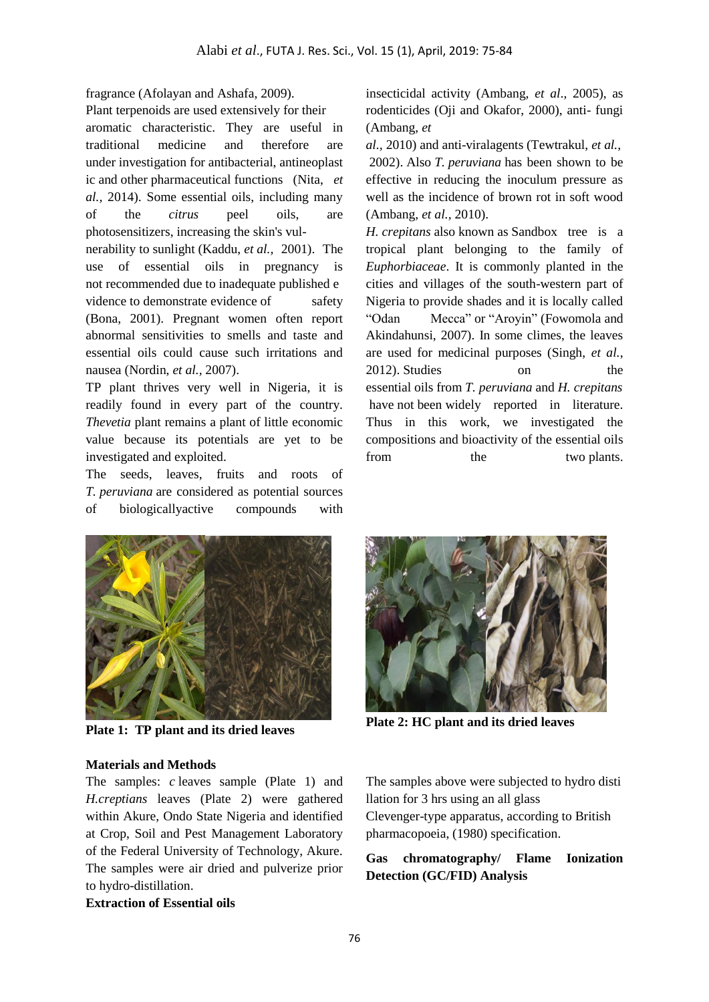fragrance (Afolayan and Ashafa, 2009).

Plant terpenoids are used extensively for their aromatic characteristic. They are useful in traditional medicine and therefore are under investigation for antibacterial, antineoplast ic and other pharmaceutical functions (Nita, *et al.,* 2014). Some essential oils, including many of the *[citrus](../../../../../../wiki/Citrus)* peel oils, are [photosensitizers,](../../../../../../wiki/Photosensitivity_in_humans) increasing the skin's vul-

nerability to sunlight (Kaddu, *et al.,* 2001). The use of essential oils in pregnancy is not recommended due to inadequate published e vidence to demonstrate evidence of safety (Bona, 2001). Pregnant women often report abnormal sensitivities to smells and taste and essential oils could cause such irritations and nausea (Nordin, *et al.,* 2007).

TP plant thrives very well in Nigeria, it is readily found in every part of the country. *Thevetia* plant remains a plant of little economic value because its potentials are yet to be investigated and exploited.

The seeds, leaves, fruits and roots of *T. peruviana* are considered as potential sources of biologicallyactive compounds with insecticidal activity (Ambang, *et al*., 2005), as rodenticides (Oji and Okafor, 2000), anti- fungi (Ambang, *et* 

*al.,* 2010) and anti-viralagents (Tewtrakul, *et al.,* 2002). Also *T. peruviana* has been shown to be effective in reducing the inoculum pressure as well as the incidence of brown rot in soft wood (Ambang, *et al.,* 2010).

*H. crepitans* also known as Sandbox tree is a tropical plant belonging to the family of *Euphorbiaceae*. It is commonly planted in the cities and villages of the south-western part of Nigeria to provide shades and it is locally called "Odan Mecca" or "Aroyin" (Fowomola and Akindahunsi, 2007). In some climes, the leaves are used for medicinal purposes (Singh, *et al.*, 2012). Studies on the essential oils from *T. peruviana* and *H. crepitans* have not been widely reported in literature. Thus in this work, we investigated the compositions and bioactivity of the essential oils from the two plants.



**Plate 1: TP plant and its dried leaves**

**Plate 2: HC plant and its dried leaves**

#### **Materials and Methods**

The samples: *c* leaves sample (Plate 1) and *H.creptians* leaves (Plate 2) were gathered within Akure, Ondo State Nigeria and identified at Crop, Soil and Pest Management Laboratory of the Federal University of Technology, Akure. The samples were air dried and pulverize prior to hydro-distillation.

The samples above were subjected to hydro disti llation for 3 hrs using an all glass Clevenger-type apparatus, according to British pharmacopoeia, (1980) specification.

#### **Gas chromatography/ Flame Ionization Detection (GC/FID) Analysis**

#### **Extraction of Essential oils**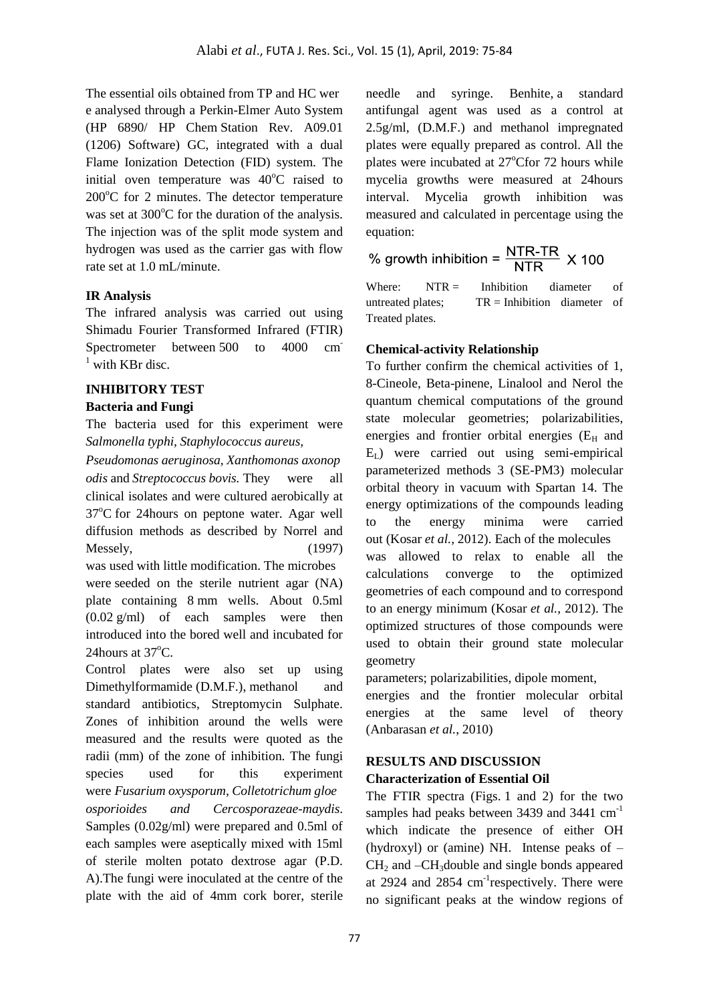The essential oils obtained from TP and HC wer e analysed through a Perkin-Elmer Auto System (HP 6890/ HP Chem Station Rev. A09.01 (1206) Software) GC, integrated with a dual Flame Ionization Detection (FID) system. The initial oven temperature was  $40^{\circ}$ C raised to  $200^{\circ}$ C for 2 minutes. The detector temperature was set at  $300^{\circ}$ C for the duration of the analysis. The injection was of the split mode system and hydrogen was used as the carrier gas with flow rate set at 1.0 mL/minute.

# **IR Analysis**

The infrared analysis was carried out using Shimadu Fourier Transformed Infrared (FTIR) Spectrometer between 500 to 4000 cm  $<sup>1</sup>$  with KBr disc.</sup>

# **INHIBITORY TEST**

#### **Bacteria and Fungi**

The bacteria used for this experiment were *Salmonella typhi, Staphylococcus aureus,* 

*Pseudomonas aeruginosa, Xanthomonas axonop odis* and *Streptococcus bovis.* They were all clinical isolates and were cultured aerobically at  $37^{\circ}$ C for 24 hours on peptone water. Agar well diffusion methods as described by Norrel and Messely, (1997) was used with little modification. The microbes

were seeded on the sterile nutrient agar (NA) plate containing 8 mm wells. About 0.5ml  $(0.02 \text{ g/ml})$  of each samples were then introduced into the bored well and incubated for 24hours at  $37^{\circ}$ C.

Control plates were also set up using Dimethylformamide (D.M.F.), methanol and standard antibiotics, Streptomycin Sulphate. Zones of inhibition around the wells were measured and the results were quoted as the radii (mm) of the zone of inhibition. The fungi species used for this experiment were *Fusarium oxysporum, Colletotrichum gloe osporioides and Cercosporazeae-maydis*. Samples (0.02g/ml) were prepared and 0.5ml of each samples were aseptically mixed with 15ml of sterile molten potato dextrose agar (P.D. A).The fungi were inoculated at the centre of the plate with the aid of 4mm cork borer, sterile needle and syringe. Benhite, a standard antifungal agent was used as a control at 2.5g/ml, (D.M.F.) and methanol impregnated plates were equally prepared as control. All the plates were incubated at  $27^{\circ}$ Cfor 72 hours while mycelia growths were measured at 24hours interval. Mycelia growth inhibition was measured and calculated in percentage using the equation:

% growth inhibition =  $\frac{\text{NTR-TR}}{\text{NTR}}$  X 100

Where:  $NTR =$  Inhibition diameter of untreated plates;  $TR = Inhibition$  diameter of Treated plates.

# **Chemical-activity Relationship**

To further confirm the chemical activities of 1, 8-Cineole, Beta-pinene, Linalool and Nerol the quantum chemical computations of the ground state molecular geometries; polarizabilities, energies and frontier orbital energies  $(E<sub>H</sub>$  and  $E<sub>L</sub>$ ) were carried out using semi-empirical parameterized methods 3 (SE-PM3) molecular orbital theory in vacuum with Spartan 14. The energy optimizations of the compounds leading to the energy minima were carried out (Kosar *et al.,* 2012). Each of the molecules was allowed to relax to enable all the calculations converge to the optimized geometries of each compound and to correspond to an energy minimum (Kosar *et al.,* 2012). The optimized structures of those compounds were used to obtain their ground state molecular geometry

parameters; polarizabilities, dipole moment,

energies and the frontier molecular orbital energies at the same level of theory (Anbarasan *et al.*, 2010)

# **RESULTS AND DISCUSSION Characterization of Essential Oil**

The FTIR spectra (Figs. 1 and 2) for the two samples had peaks between 3439 and 3441 cm<sup>-1</sup> which indicate the presence of either OH (hydroxyl) or (amine) NH. Intense peaks of –  $CH<sub>2</sub>$  and  $-CH<sub>3</sub>$ double and single bonds appeared at 2924 and 2854 cm<sup>-1</sup>respectively. There were no significant peaks at the window regions of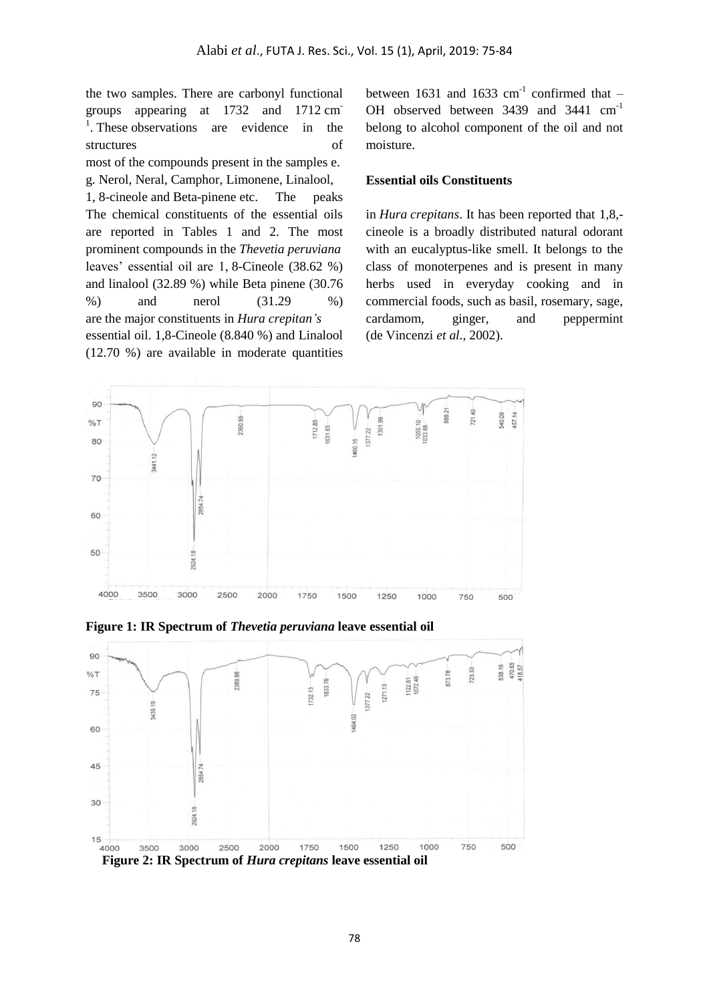the two samples. There are carbonyl functional groups appearing at 1732 and 1712 cm-<sup>1</sup>. These observations are evidence in the structures of most of the compounds present in the samples e. g. Nerol, Neral, Camphor, Limonene, Linalool, 1, 8-cineole and Beta-pinene etc. The peaks The chemical constituents of the essential oils are reported in Tables 1 and 2. The most prominent compounds in the *Thevetia peruviana* leaves' essential oil are 1, 8-Cineole (38.62 %) and linalool (32.89 %) while Beta pinene (30.76  $\%$ ) and nerol  $(31.29 \%)$ are the major constituents in *Hura crepitan's* essential oil. 1,8-Cineole (8.840 %) and Linalool

(12.70 %) are available in moderate quantities

between 1631 and 1633  $cm^{-1}$  confirmed that -OH observed between 3439 and 3441 cm<sup>-1</sup> belong to alcohol component of the oil and not moisture.

#### **Essential oils Constituents**

in *Hura crepitans*. It has been reported that 1,8, cineole is a broadly distributed natural odorant with an eucalyptus-like smell. It belongs to the class of monoterpenes and is present in many herbs used in everyday cooking and in commercial foods, such as basil, rosemary, sage, cardamom, ginger, and peppermint (de Vincenzi *et al*., 2002).



**Figure 1: IR Spectrum of** *Thevetia peruviana* **leave essential oil**

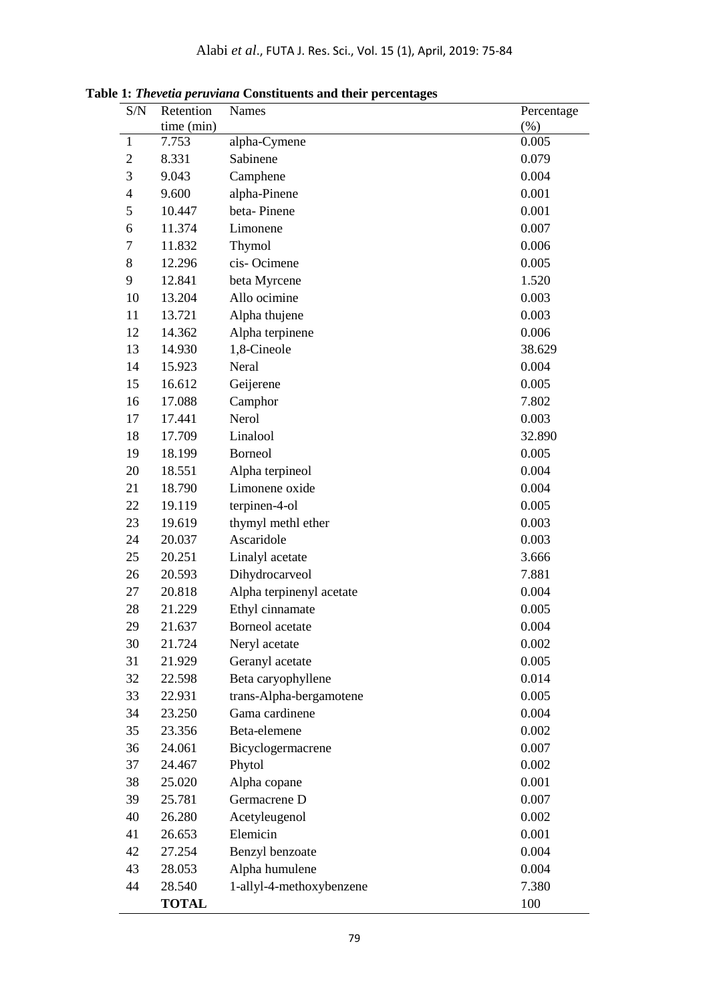| S/N                      | Retention    | Names                    | Percentage |
|--------------------------|--------------|--------------------------|------------|
|                          | time (min)   |                          | $(\%)$     |
| $\mathbf{1}$             | 7.753        | alpha-Cymene             | 0.005      |
| $\overline{2}$           | 8.331        | Sabinene                 | 0.079      |
| 3                        | 9.043        | Camphene                 | 0.004      |
| $\overline{\mathcal{A}}$ | 9.600        | alpha-Pinene             | 0.001      |
| 5                        | 10.447       | beta-Pinene              | 0.001      |
| 6                        | 11.374       | Limonene                 | 0.007      |
| $\boldsymbol{7}$         | 11.832       | Thymol                   | 0.006      |
| 8                        | 12.296       | cis-Ocimene              | 0.005      |
| 9                        | 12.841       | beta Myrcene             | 1.520      |
| 10                       | 13.204       | Allo ocimine             | 0.003      |
| 11                       | 13.721       | Alpha thujene            | 0.003      |
| 12                       | 14.362       | Alpha terpinene          | 0.006      |
| 13                       | 14.930       | 1,8-Cineole              | 38.629     |
| 14                       | 15.923       | Neral                    | 0.004      |
| 15                       | 16.612       | Geijerene                | 0.005      |
| 16                       | 17.088       | Camphor                  | 7.802      |
| 17                       | 17.441       | Nerol                    | 0.003      |
| 18                       | 17.709       | Linalool                 | 32.890     |
| 19                       | 18.199       | <b>Borneol</b>           | 0.005      |
| 20                       | 18.551       | Alpha terpineol          | 0.004      |
| 21                       | 18.790       | Limonene oxide           | 0.004      |
| 22                       | 19.119       | terpinen-4-ol            | 0.005      |
| 23                       | 19.619       | thymyl methl ether       | 0.003      |
| 24                       | 20.037       | Ascaridole               | 0.003      |
| 25                       | 20.251       | Linalyl acetate          | 3.666      |
| 26                       | 20.593       | Dihydrocarveol           | 7.881      |
| 27                       | 20.818       | Alpha terpinenyl acetate | 0.004      |
| 28                       | 21.229       | Ethyl cinnamate          | 0.005      |
| 29                       | 21.637       | Borneol acetate          | 0.004      |
| 30                       | 21.724       | Neryl acetate            | 0.002      |
| 31                       | 21.929       | Geranyl acetate          | 0.005      |
| 32                       | 22.598       | Beta caryophyllene       | 0.014      |
| 33                       | 22.931       | trans-Alpha-bergamotene  | 0.005      |
| 34                       | 23.250       | Gama cardinene           | 0.004      |
| 35                       | 23.356       | Beta-elemene             | 0.002      |
| 36                       | 24.061       | Bicyclogermacrene        | 0.007      |
| 37                       | 24.467       | Phytol                   | 0.002      |
| 38                       | 25.020       | Alpha copane             | 0.001      |
| 39                       | 25.781       | Germacrene D             | 0.007      |
| 40                       | 26.280       | Acetyleugenol            | 0.002      |
| 41                       | 26.653       | Elemicin                 | 0.001      |
| 42                       | 27.254       | Benzyl benzoate          | 0.004      |
| 43                       | 28.053       | Alpha humulene           | 0.004      |
| 44                       | 28.540       | 1-allyl-4-methoxybenzene | 7.380      |
|                          | <b>TOTAL</b> |                          | 100        |

**Table 1:** *Thevetia peruviana* **Constituents and their percentages**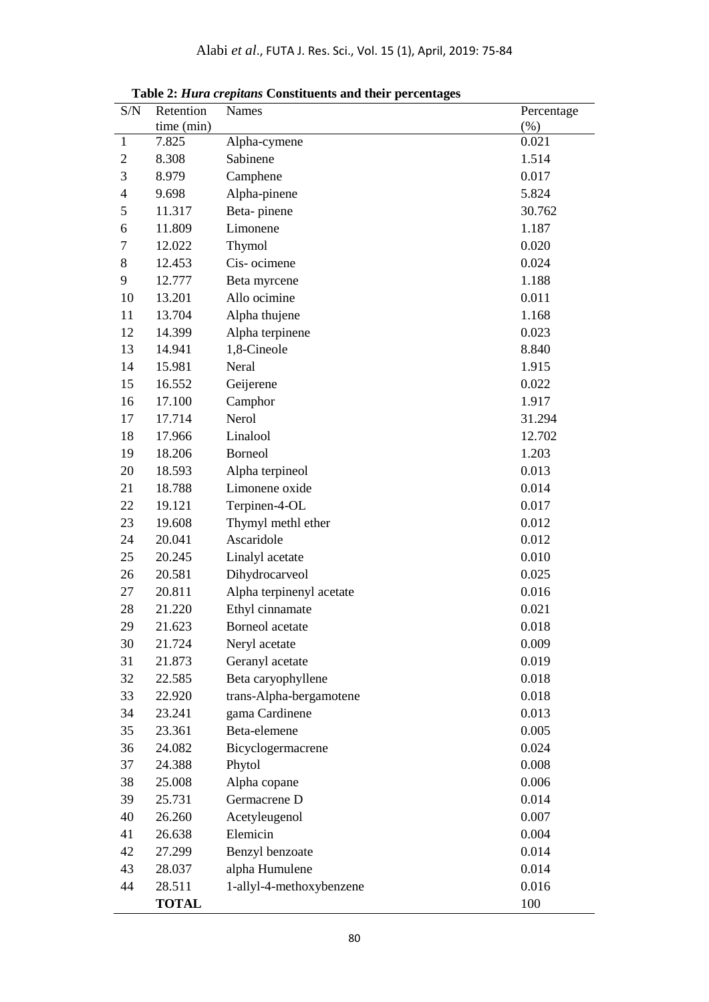| S/N          | Retention    | Names                    | Percentage |
|--------------|--------------|--------------------------|------------|
|              | time (min)   |                          | (% )       |
| $\mathbf{1}$ | 7.825        | Alpha-cymene             | 0.021      |
| $\mathbf{2}$ | 8.308        | Sabinene                 | 1.514      |
| 3            | 8.979        | Camphene                 | 0.017      |
| 4            | 9.698        | Alpha-pinene             | 5.824      |
| 5            | 11.317       | Beta-pinene              | 30.762     |
| 6            | 11.809       | Limonene                 | 1.187      |
| 7            | 12.022       | Thymol                   | 0.020      |
| 8            | 12.453       | Cis-ocimene              | 0.024      |
| 9            | 12.777       | Beta myrcene             | 1.188      |
| 10           | 13.201       | Allo ocimine             | 0.011      |
| 11           | 13.704       | Alpha thujene            | 1.168      |
| 12           | 14.399       | Alpha terpinene          | 0.023      |
| 13           | 14.941       | 1,8-Cineole              | 8.840      |
| 14           | 15.981       | Neral                    | 1.915      |
| 15           | 16.552       | Geijerene                | 0.022      |
| 16           | 17.100       | Camphor                  | 1.917      |
| 17           | 17.714       | Nerol                    | 31.294     |
| 18           | 17.966       | Linalool                 | 12.702     |
| 19           | 18.206       | <b>Borneol</b>           | 1.203      |
| 20           | 18.593       | Alpha terpineol          | 0.013      |
| 21           | 18.788       | Limonene oxide           | 0.014      |
| 22           | 19.121       | Terpinen-4-OL            | 0.017      |
| 23           | 19.608       | Thymyl methl ether       | 0.012      |
| 24           | 20.041       | Ascaridole               | 0.012      |
| 25           | 20.245       | Linalyl acetate          | 0.010      |
| 26           | 20.581       | Dihydrocarveol           | 0.025      |
| 27           | 20.811       | Alpha terpinenyl acetate | 0.016      |
| 28           | 21.220       | Ethyl cinnamate          | 0.021      |
| 29           | 21.623       | <b>Borneol</b> acetate   | 0.018      |
| 30           | 21.724       | Neryl acetate            | 0.009      |
| 31           | 21.873       | Geranyl acetate          | 0.019      |
| 32           | 22.585       | Beta caryophyllene       | 0.018      |
| 33           | 22.920       | trans-Alpha-bergamotene  | 0.018      |
| 34           | 23.241       | gama Cardinene           | 0.013      |
| 35           | 23.361       | Beta-elemene             | 0.005      |
| 36           | 24.082       | Bicyclogermacrene        | 0.024      |
| 37           | 24.388       | Phytol                   | 0.008      |
| 38           | 25.008       | Alpha copane             | 0.006      |
| 39           | 25.731       | Germacrene D             | 0.014      |
| 40           | 26.260       | Acetyleugenol            | 0.007      |
| 41           | 26.638       | Elemicin                 | 0.004      |
| 42           | 27.299       | Benzyl benzoate          | 0.014      |
| 43           | 28.037       | alpha Humulene           | 0.014      |
| 44           | 28.511       | 1-allyl-4-methoxybenzene | 0.016      |
|              | <b>TOTAL</b> |                          | 100        |

 **Table 2:** *Hura crepitans* **Constituents and their percentages**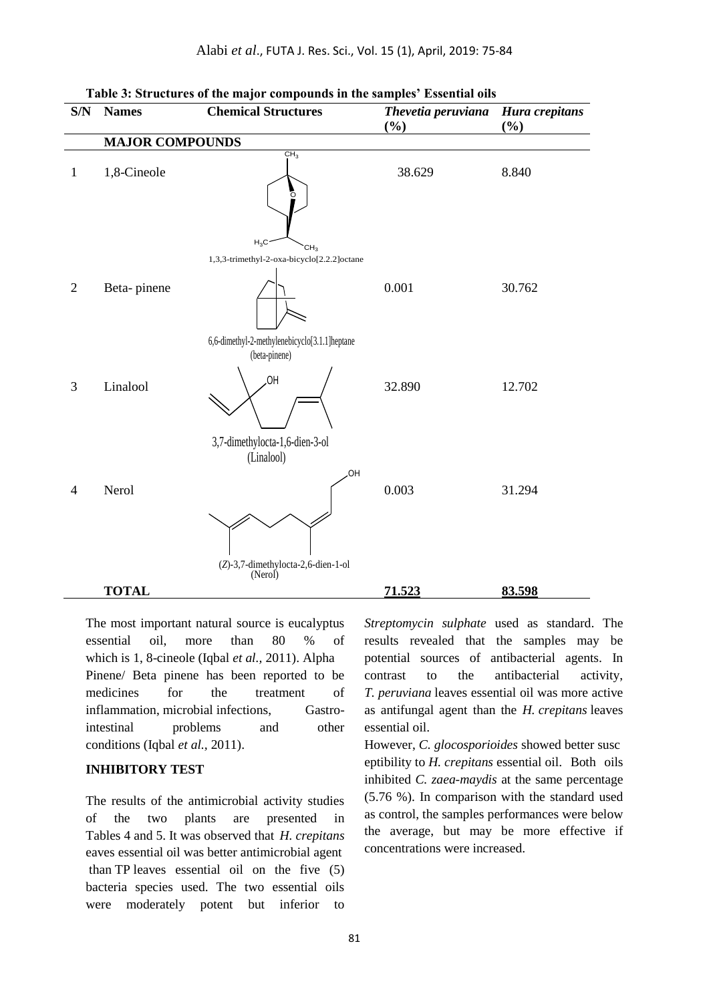Alabi *et al*., FUTA J. Res. Sci., Vol. 15 (1), April, 2019: 75-84

| S/N            | <b>Names</b>           | <b>Chemical Structures</b>                                    | Thevetia peruviana<br>(%) | Hura crepitans<br>$(\%)$ |  |
|----------------|------------------------|---------------------------------------------------------------|---------------------------|--------------------------|--|
|                | <b>MAJOR COMPOUNDS</b> |                                                               |                           |                          |  |
| $\mathbf{1}$   | 1,8-Cineole            | CH <sub>3</sub><br>Ö<br>$H_3C$                                | 38.629                    | 8.840                    |  |
|                |                        | CH <sub>3</sub><br>1,3,3-trimethyl-2-oxa-bicyclo[2.2.2]octane |                           |                          |  |
| $\overline{2}$ | Beta-pinene            |                                                               | 0.001                     | 30.762                   |  |
|                |                        | 6,6-dimethyl-2-methylenebicyclo[3.1.1]heptane                 |                           |                          |  |
| 3              | Linalool               | (beta-pinene)<br>HO.                                          | 32.890                    | 12.702                   |  |
|                |                        | 3,7-dimethylocta-1,6-dien-3-ol                                |                           |                          |  |
| $\overline{4}$ | Nerol                  | (Linalool)<br>OH<br>(Z)-3,7-dimethylocta-2,6-dien-1-ol        | 0.003                     | 31.294                   |  |
|                | <b>TOTAL</b>           | (Nerol)                                                       | 71.523                    | 83.598                   |  |
|                |                        |                                                               |                           |                          |  |

The most important natural source is eucalyptus essential oil, more than 80 % of which is 1, 8-cineole (Iqbal *et al.,* 2011). Alpha Pinene/ Beta pinene has been reported to be medicines for the treatment of inflammation, microbial infections, Gastrointestinal problems and other conditions (Iqbal *et al.,* 2011).

# **INHIBITORY TEST**

The results of the antimicrobial activity studies of the two plants are presented in Tables 4 and 5. It was observed that *H. crepitans* eaves essential oil was better antimicrobial agent than TP leaves essential oil on the five (5) bacteria species used. The two essential oils were moderately potent but inferior to

*Streptomycin sulphate* used as standard. The results revealed that the samples may be potential sources of antibacterial agents. In contrast to the antibacterial activity, *T. peruviana* leaves essential oil was more active as antifungal agent than the *H. crepitans* leaves essential oil.

However, *C. glocosporioides* showed better susc eptibility to *H. crepitans* essential oil. Both oils inhibited *C. zaea-maydis* at the same percentage (5.76 %). In comparison with the standard used as control, the samples performances were below the average, but may be more effective if concentrations were increased.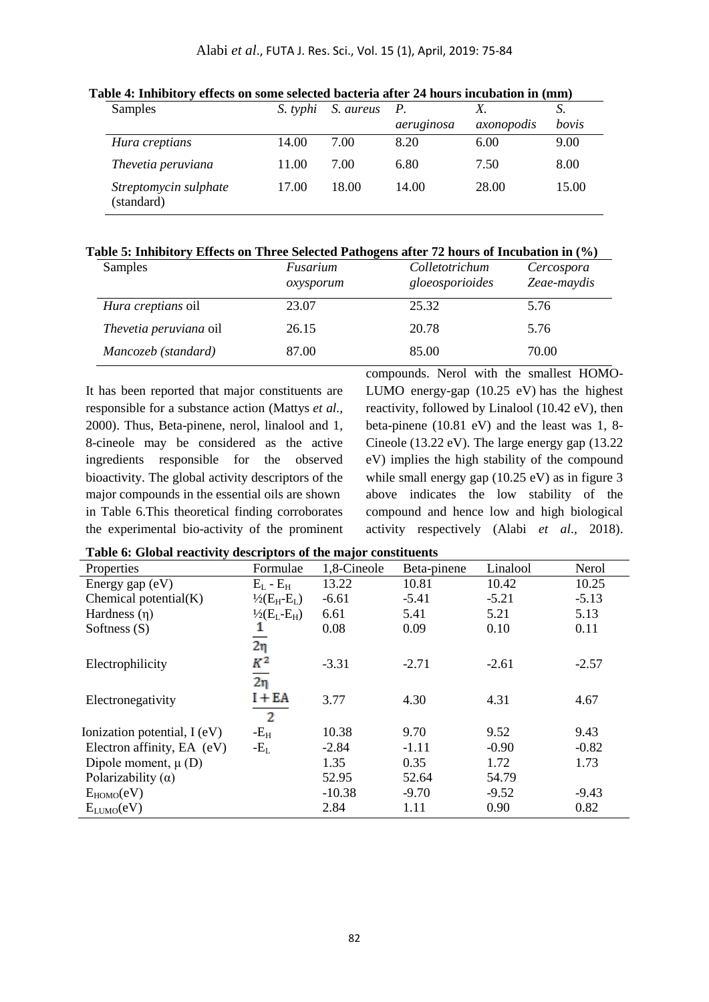| Samples                             | S. typhi | S. aureus | $P_{\cdot}$ | Х.         | S.    |
|-------------------------------------|----------|-----------|-------------|------------|-------|
|                                     |          |           | aeruginosa  | axonopodis | bovis |
| Hura creptians                      | 14.00    | 7.00      | 8.20        | 6.00       | 9.00  |
| Thevetia peruviana                  | 11.00    | 7.00      | 6.80        | 7.50       | 8.00  |
| Streptomycin sulphate<br>(standard) | 17.00    | 18.00     | 14.00       | 28.00      | 15.00 |

**Table 4: Inhibitory effects on some selected bacteria after 24 hours incubation in (mm)**

#### **Table 5: Inhibitory Effects on Three Selected Pathogens after 72 hours of Incubation in (%)**

| Samples                   | Fusarium<br>oxysporum | Colletotrichum<br>gloeosporioides | Cercospora<br>Zeae-maydis |
|---------------------------|-----------------------|-----------------------------------|---------------------------|
| <i>Hura creptians oil</i> | 23.07                 | 25.32                             | 5.76                      |
| Thevetia peruviana oil    | 26.15                 | 20.78                             | 5.76                      |
| Mancozeb (standard)       | 87.00                 | 85.00                             | 70.00                     |

It has been reported that major constituents are responsible for a substance action (Mattys *et al.,* 2000). Thus, Beta-pinene, nerol, linalool and 1, 8-cineole may be considered as the active ingredients responsible for the observed bioactivity. The global activity descriptors of the major compounds in the essential oils are shown in Table 6.This theoretical finding corroborates the experimental bio-activity of the prominent

compounds. Nerol with the smallest HOMO-LUMO energy-gap (10.25 eV) has the highest reactivity, followed by Linalool (10.42 eV), then beta-pinene (10.81 eV) and the least was 1, 8- Cineole (13.22 eV). The large energy gap (13.22 eV) implies the high stability of the compound while small energy gap (10.25 eV) as in figure 3 above indicates the low stability of the compound and hence low and high biological activity respectively (Alabi *et al*., 2018).

|  |  |  | Table 6: Global reactivity descriptors of the major constituents |
|--|--|--|------------------------------------------------------------------|
|  |  |  |                                                                  |

| Properties                   | Formulae                   | 1,8-Cineole | Beta-pinene | Linalool | Nerol   |
|------------------------------|----------------------------|-------------|-------------|----------|---------|
| Energy gap $(eV)$            | $E_L - E_H$                | 13.22       | 10.81       | 10.42    | 10.25   |
| Chemical potential $(K)$     | $\frac{1}{2}(E_{H}-E_{L})$ | $-6.61$     | $-5.41$     | $-5.21$  | $-5.13$ |
| Hardness $(n)$               | $\frac{1}{2}(E_L-E_H)$     | 6.61        | 5.41        | 5.21     | 5.13    |
| Softness $(S)$               |                            | 0.08        | 0.09        | 0.10     | 0.11    |
|                              | $2\eta$                    |             |             |          |         |
| Electrophilicity             | $K^2$                      | $-3.31$     | $-2.71$     | $-2.61$  | $-2.57$ |
|                              | $\overline{2\eta}$         |             |             |          |         |
| Electronegativity            | $I + EA$                   | 3.77        | 4.30        | 4.31     | 4.67    |
|                              | $\overline{2}$             |             |             |          |         |
| Ionization potential, I (eV) | $-E_{H}$                   | 10.38       | 9.70        | 9.52     | 9.43    |
| Electron affinity, EA (eV)   | $-E_L$                     | $-2.84$     | $-1.11$     | $-0.90$  | $-0.82$ |
| Dipole moment, $\mu$ (D)     |                            | 1.35        | 0.35        | 1.72     | 1.73    |
| Polarizability $(\alpha)$    |                            | 52.95       | 52.64       | 54.79    |         |
| $E_{HOMO}(eV)$               |                            | $-10.38$    | $-9.70$     | $-9.52$  | $-9.43$ |
| $E_{LUMO}(eV)$               |                            | 2.84        | 1.11        | 0.90     | 0.82    |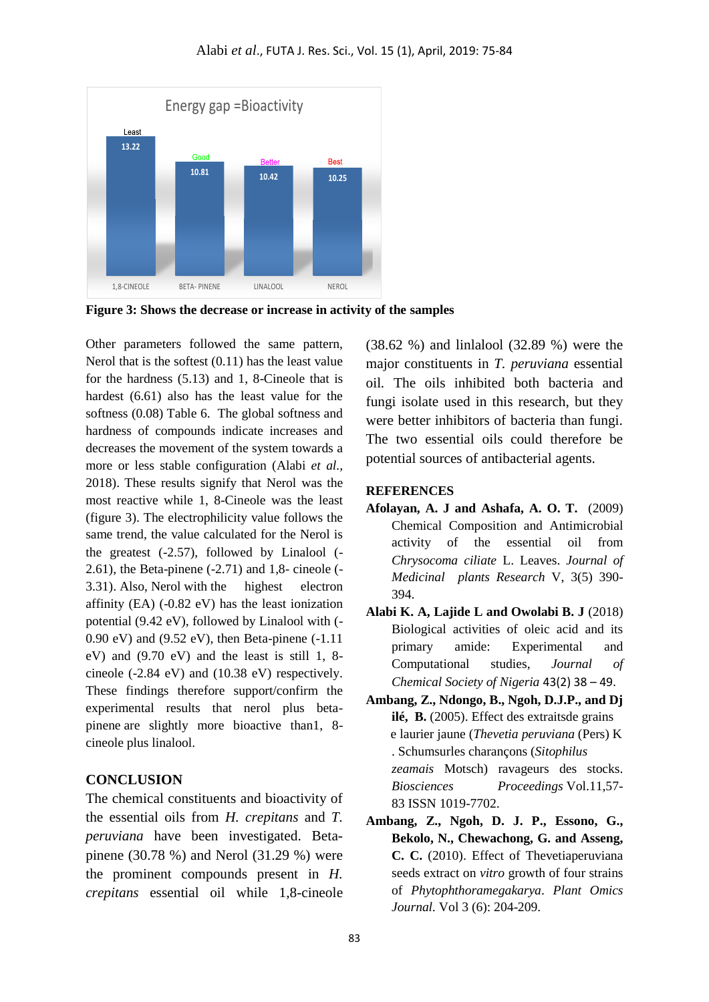

**Figure 3: Shows the decrease or increase in activity of the samples**

**EXAMPLE 19.22**<br> **13.22**<br> **13.22**<br> **13.23**<br> **13.23**<br> **13.23**<br> **13.23**<br> **13.23**<br> **13.23**<br> **13.23**<br> **13.23**<br> **13.23**<br> **13.24**<br> **14.23**<br> **14.23**<br> **14.24**<br> **14.24**<br> **14.24**<br> **14.24**<br> **14.24**<br> **14.24**<br> **14.24**<br> **14.24**<br> **14.34** Other parameters followed the same pattern, Nerol that is the softest (0.11) has the least value for the hardness (5.13) and 1, 8-Cineole that is hardest (6.61) also has the least value for the softness (0.08) Table 6. The global softness and hardness of compounds indicate increases and decreases the movement of the system towards a more or less stable configuration (Alabi *et al.,* 2018). These results signify that Nerol was the most reactive while 1, 8-Cineole was the least (figure 3). The electrophilicity value follows the same trend, the value calculated for the Nerol is the greatest (-2.57), followed by Linalool (- 2.61), the Beta-pinene (-2.71) and 1,8- cineole (- 3.31). Also, Nerol with the highest electron affinity (EA) (-0.82 eV) has the least ionization potential (9.42 eV), followed by Linalool with (- 0.90 eV) and (9.52 eV), then Beta-pinene (-1.11 eV) and (9.70 eV) and the least is still 1, 8 cineole (-2.84 eV) and (10.38 eV) respectively. These findings therefore support/confirm the experimental results that nerol plus betapinene are slightly more bioactive than1, 8 cineole plus linalool.

### **CONCLUSION**

The chemical constituents and bioactivity of the essential oils from *H. crepitans* and *T. peruviana* have been investigated. Betapinene (30.78 %) and Nerol (31.29 %) were the prominent compounds present in *H. crepitans* essential oil while 1,8-cineole (38.62 %) and linlalool (32.89 %) were the major constituents in *T. peruviana* essential oil*.* The oils inhibited both bacteria and fungi isolate used in this research, but they were better inhibitors of bacteria than fungi. The two essential oils could therefore be potential sources of antibacterial agents.

#### **REFERENCES**

- **Afolayan, A. J and Ashafa, A. O. T.** (2009) Chemical Composition and Antimicrobial activity of the essential oil from *Chrysocoma ciliate* L. Leaves. *Journal of Medicinal plants Research* V, 3(5) 390- 394.
- **Alabi K. A, Lajide L and Owolabi B. J** (2018) Biological activities of oleic acid and its primary amide: Experimental and Computational studies, *Journal of Chemical Society of Nigeria* 43(2) 38 – 49.
- **Ambang, Z., Ndongo, B., Ngoh, D.J.P., and Dj ilé, B.** (2005). Effect des extraitsde grains e laurier jaune (*Thevetia peruviana* (Pers) K . Schumsurles charançons (*Sitophilus zeamais* Motsch) ravageurs des stocks. *Biosciences Proceedings* Vol.11,57- 83 ISSN 1019-7702.
- **Ambang, Z., Ngoh, D. J. P., Essono, G., Bekolo, N., Chewachong, G. and Asseng, C. C.** (2010). Effect of Thevetiaperuviana seeds extract on *vitro* growth of four strains of *Phytophthoramegakarya*. *Plant Omics Journal.* Vol 3 (6): 204-209.